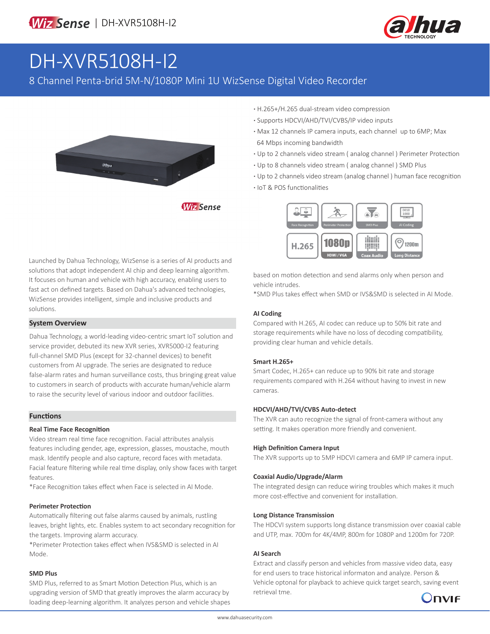

# DH-XVR5108H-I2

8 Channel Penta-brid 5M-N/1080P Mini 1U WizSense Digital Video Recorder



**·** H.265+/H.265 dual-stream video compression

- **·** Supports HDCVI/AHD/TVI/CVBS/IP video inputs
- **·** Max 12 channels IP camera inputs, each channel up to 6MP; Max 64 Mbps incoming bandwidth
- **·** Up to 2 channels video stream ( analog channel ) Perimeter Protection
- **·** Up to 8 channels video stream ( analog channel ) SMD Plus
- **·** Up to 2 channels video stream (analog channel ) human face recognition
- **·** IoT & POS functionalities



Launched by Dahua Technology, WizSense is a series of AI products and solutions that adopt independent AI chip and deep learning algorithm. It focuses on human and vehicle with high accuracy, enabling users to fast act on defined targets. Based on Dahua's advanced technologies, WizSense provides intelligent, simple and inclusive products and solutions.

#### **System Overview**

Dahua Technology, a world-leading video-centric smart IoT solution and service provider, debuted its new XVR series, XVR5000-I2 featuring full-channel SMD Plus (except for 32-channel devices) to benefit customers from AI upgrade. The series are designated to reduce false-alarm rates and human surveillance costs, thus bringing great value to customers in search of products with accurate human/vehicle alarm to raise the security level of various indoor and outdoor facilities.

#### **Functions**

#### **Real Time Face Recognition**

Video stream real time face recognition. Facial attributes analysis features including gender, age, expression, glasses, moustache, mouth mask. Identify people and also capture, record faces with metadata. Facial feature filtering while real time display, only show faces with target features.

\*Face Recognition takes effect when Face is selected in AI Mode.

#### **Perimeter Protection**

Automatically filtering out false alarms caused by animals, rustling leaves, bright lights, etc. Enables system to act secondary recognition for the targets. Improving alarm accuracy.

\*Perimeter Protection takes effect when IVS&SMD is selected in AI Mode.

#### **SMD Plus**

SMD Plus, referred to as Smart Motion Detection Plus, which is an upgrading version of SMD that greatly improves the alarm accuracy by loading deep-learning algorithm. It analyzes person and vehicle shapes based on motion detection and send alarms only when person and vehicle intrudes.

\*SMD Plus takes effect when SMD or IVS&SMD is selected in AI Mode.

#### **AI Coding**

Compared with H.265, AI codec can reduce up to 50% bit rate and storage requirements while have no loss of decoding compatibility, providing clear human and vehicle details.

#### **Smart H.265+**

Smart Codec, H.265+ can reduce up to 90% bit rate and storage requirements compared with H.264 without having to invest in new cameras.

#### **HDCVI/AHD/TVI/CVBS Auto-detect**

The XVR can auto recognize the signal of front-camera without any setting. It makes operation more friendly and convenient.

#### **High Definition Camera Input**

The XVR supports up to 5MP HDCVI camera and 6MP IP camera input.

#### **Coaxial Audio/Upgrade/Alarm**

The integrated design can reduce wiring troubles which makes it much more cost-effective and convenient for installation.

#### **Long Distance Transmission**

The HDCVI system supports long distance transmission over coaxial cable and UTP, max. 700m for 4K/4MP, 800m for 1080P and 1200m for 720P.

#### **AI Search**

Extract and classify person and vehicles from massive video data, easy for end users to trace historical informaton and analyze. Person & Vehicle optonal for playback to achieve quick target search, saving event retrieval tme.

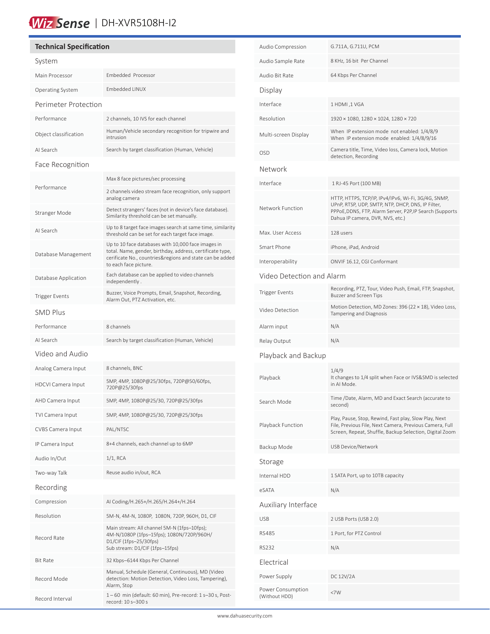## Wiz Sense | DH-XVR5108H-I2

### **Technical Specification** System Main Processor Embedded Processor Operating System Embedded LINUX Perimeter Protection Performance 2 channels, 10 IVS for each channel Object classification Human/Vehicle secondary recognition for tripwire and intrusion AI Search Search by target classification (Human, Vehicle) Face Recognition Performance Max 8 face pictures/sec processing 2 channels video stream face recognition, only support analog camera Stranger Mode Detect strangers' faces (not in device's face database). Similarity threshold can be set manually. AI Search Up to 8 target face images search at same time, similarity threshold can be set for each target face image. Database Management Up to 10 face databases with 10,000 face images in total. Name, gender, birthday, address, certificate type, cerificate No., countries&regions and state can be added to each face picture. Database Application Each database can be applied to video channels independently . Trigger Events<br>Alam Out PT7 Astivative attracts. Recording, Alarm Out, PTZ Activation, etc. SMD Plus Performance 8 channels AI Search Search by target classification (Human, Vehicle) Video and Audio Analog Camera Input 8 channels, BNC HDCVI Camera Input 5MP, 4MP, 1080P@25/30fps, 720P@50/60fps, 720P@25/30fps AHD Camera Input 5MP, 4MP, 1080P@25/30, 720P@25/30fps TVI Camera Input 5MP, 4MP, 1080P@25/30, 720P@25/30fps CVBS Camera Input PAL/NTSC IP Camera Input 8+4 channels, each channel up to 6MP Audio In/Out 1/1, RCA Two-way Talk Reuse audio in/out, RCA Recording Compression AI Coding/H.265+/H.265/H.264+/H.264 Resolution 5M-N, 4M-N, 1080P, 1080N, 720P, 960H, D1, CIF Record Rate Main stream: All channel 5M-N (1fps–10fps); 4M-N/1080P (1fps–15fps); 1080N/720P/960H/ D1/CIF (1fps–25/30fps) Sub stream: D1/CIF (1fps–15fps) Bit Rate 32 Kbps–6144 Kbps Per Channel Record Mode Manual, Schedule (General, Continuous), MD (Video detection: Motion Detection, Video Loss, Tampering), Alarm, Stop Record Interval 1 – 60 min (default: 60 min), Pre-record: 1 s–30 s, Postrecord: 10 s–300 s

í

| Audio Compression                  | G.711A, G.711U, PCM                                                                                                                                                                                      |  |  |  |
|------------------------------------|----------------------------------------------------------------------------------------------------------------------------------------------------------------------------------------------------------|--|--|--|
| Audio Sample Rate                  | 8 KHz, 16 bit Per Channel                                                                                                                                                                                |  |  |  |
| Audio Bit Rate                     | 64 Kbps Per Channel                                                                                                                                                                                      |  |  |  |
| Display                            |                                                                                                                                                                                                          |  |  |  |
| Interface                          | 1 HDMI, 1 VGA                                                                                                                                                                                            |  |  |  |
| Resolution                         | 1920 × 1080, 1280 × 1024, 1280 × 720                                                                                                                                                                     |  |  |  |
| Multi-screen Display               | When IP extension mode not enabled: 1/4/8/9<br>When IP extension mode enabled: 1/4/8/9/16                                                                                                                |  |  |  |
| <b>OSD</b>                         | Camera title, Time, Video loss, Camera lock, Motion<br>detection, Recording                                                                                                                              |  |  |  |
| Network                            |                                                                                                                                                                                                          |  |  |  |
| Interface                          | 1 RJ-45 Port (100 MB)                                                                                                                                                                                    |  |  |  |
| Network Function                   | HTTP, HTTPS, TCP/IP, IPv4/IPv6, Wi-Fi, 3G/4G, SNMP,<br>UPnP, RTSP, UDP, SMTP, NTP, DHCP, DNS, IP Filter,<br>PPPoE, DDNS, FTP, Alarm Server, P2P, IP Search (Supports<br>Dahua IP camera, DVR, NVS, etc.) |  |  |  |
| Max. User Access                   | 128 users                                                                                                                                                                                                |  |  |  |
| Smart Phone                        | iPhone, iPad, Android                                                                                                                                                                                    |  |  |  |
| Interoperability                   | ONVIF 16.12, CGI Conformant                                                                                                                                                                              |  |  |  |
| Video Detection and Alarm          |                                                                                                                                                                                                          |  |  |  |
| <b>Trigger Events</b>              | Recording, PTZ, Tour, Video Push, Email, FTP, Snapshot,<br><b>Buzzer and Screen Tips</b>                                                                                                                 |  |  |  |
| Video Detection                    | Motion Detection, MD Zones: 396 (22 × 18), Video Loss,<br>Tampering and Diagnosis                                                                                                                        |  |  |  |
| Alarm input                        | N/A                                                                                                                                                                                                      |  |  |  |
| Relay Output                       | N/A                                                                                                                                                                                                      |  |  |  |
| Playback and Backup                |                                                                                                                                                                                                          |  |  |  |
| Playback                           | 1/4/9<br>It changes to 1/4 split when Face or IVS&SMD is selected<br>in AI Mode.                                                                                                                         |  |  |  |
| Search Mode                        | Time /Date, Alarm, MD and Exact Search (accurate to<br>second)                                                                                                                                           |  |  |  |
| Playback Function                  | Play, Pause, Stop, Rewind, Fast play, Slow Play, Next<br>File, Previous File, Next Camera, Previous Camera, Full<br>Screen, Repeat, Shuffle, Backup Selection, Digital Zoom                              |  |  |  |
| Backup Mode                        | USB Device/Network                                                                                                                                                                                       |  |  |  |
| Storage                            |                                                                                                                                                                                                          |  |  |  |
| Internal HDD                       | 1 SATA Port, up to 10TB capacity                                                                                                                                                                         |  |  |  |
| eSATA                              | N/A                                                                                                                                                                                                      |  |  |  |
| Auxiliary Interface                |                                                                                                                                                                                                          |  |  |  |
| <b>USB</b>                         | 2 USB Ports (USB 2.0)                                                                                                                                                                                    |  |  |  |
| <b>RS485</b>                       | 1 Port, for PTZ Control                                                                                                                                                                                  |  |  |  |
| RS232                              | N/A                                                                                                                                                                                                      |  |  |  |
| Electrical                         |                                                                                                                                                                                                          |  |  |  |
| Power Supply                       | DC 12V/2A                                                                                                                                                                                                |  |  |  |
| Power Consumption<br>(Without HDD) | <7W                                                                                                                                                                                                      |  |  |  |